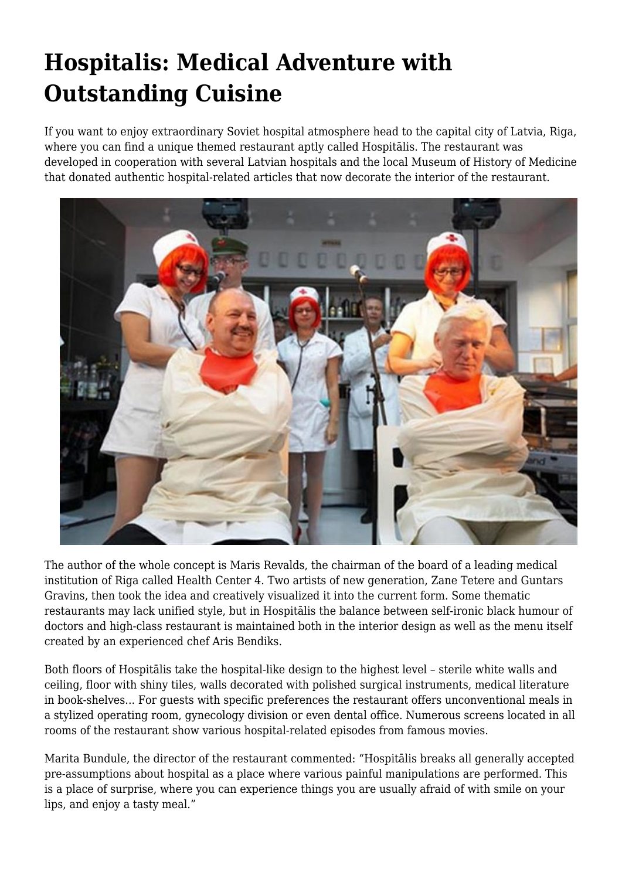## **Hospitalis: Medical Adventure with Outstanding Cuisine**

If you want to enjoy extraordinary Soviet hospital atmosphere head to the capital city of Latvia, Riga, where you can find a unique themed restaurant aptly called Hospitālis. The restaurant was developed in cooperation with several Latvian hospitals and the local Museum of History of Medicine that donated authentic hospital-related articles that now decorate the interior of the restaurant.



The author of the whole concept is Maris Revalds, the chairman of the board of a leading medical institution of Riga called Health Center 4. Two artists of new generation, Zane Tetere and Guntars Gravins, then took the idea and creatively visualized it into the current form. Some thematic restaurants may lack unified style, but in Hospitālis the balance between self-ironic black humour of doctors and high-class restaurant is maintained both in the interior design as well as the menu itself created by an experienced chef Aris Bendiks.

Both floors of Hospitālis take the hospital-like design to the highest level – sterile white walls and ceiling, floor with shiny tiles, walls decorated with polished surgical instruments, medical literature in book-shelves... For guests with specific preferences the restaurant offers unconventional meals in a stylized operating room, gynecology division or even dental office. Numerous screens located in all rooms of the restaurant show various hospital-related episodes from famous movies.

Marita Bundule, the director of the restaurant commented: "Hospitālis breaks all generally accepted pre-assumptions about hospital as a place where various painful manipulations are performed. This is a place of surprise, where you can experience things you are usually afraid of with smile on your lips, and enjoy a tasty meal."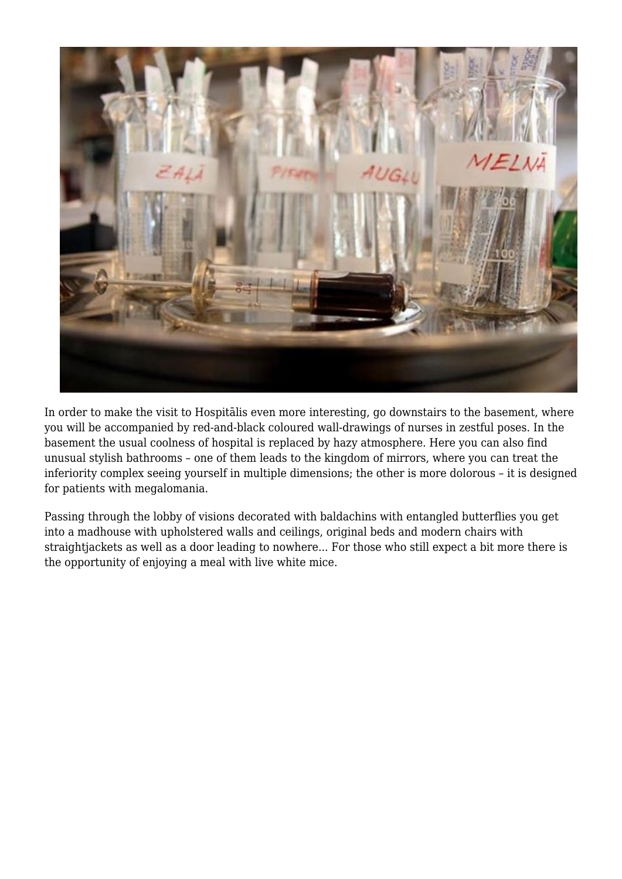

In order to make the visit to Hospitālis even more interesting, go downstairs to the basement, where you will be accompanied by red-and-black coloured wall-drawings of nurses in zestful poses. In the basement the usual coolness of hospital is replaced by hazy atmosphere. Here you can also find unusual stylish bathrooms – one of them leads to the kingdom of mirrors, where you can treat the inferiority complex seeing yourself in multiple dimensions; the other is more dolorous – it is designed for patients with megalomania.

Passing through the lobby of visions decorated with baldachins with entangled butterflies you get into a madhouse with upholstered walls and ceilings, original beds and modern chairs with straightjackets as well as a door leading to nowhere... For those who still expect a bit more there is the opportunity of enjoying a meal with live white mice.